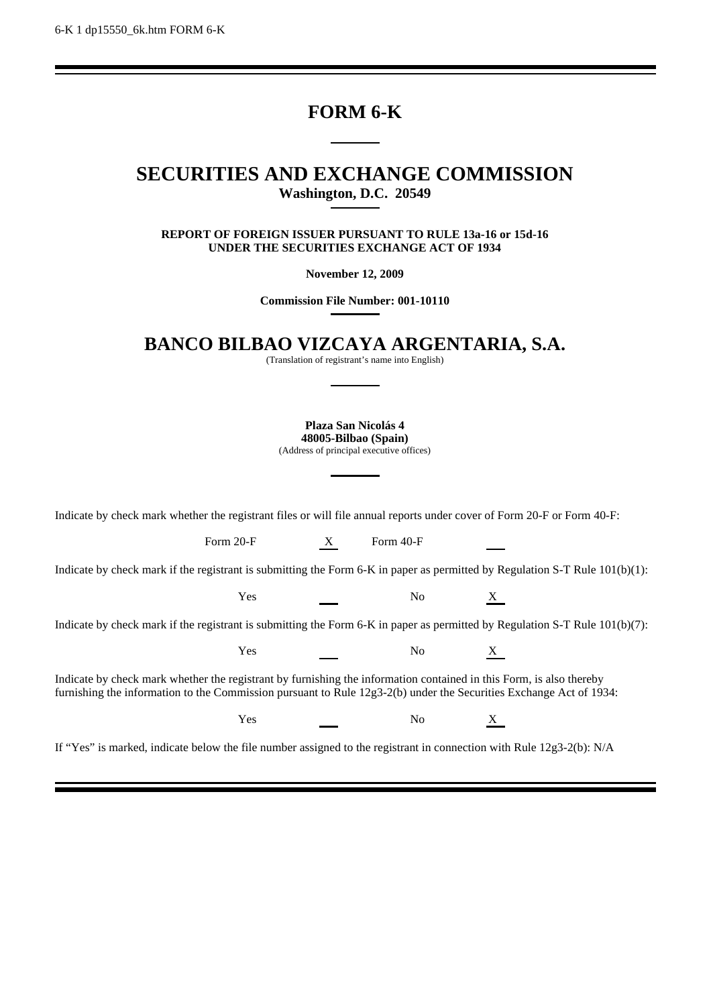# **FORM 6-K**

# **SECURITIES AND EXCHANGE COMMISSION Washington, D.C. 20549**

**REPORT OF FOREIGN ISSUER PURSUANT TO RULE 13a-16 or 15d-16 UNDER THE SECURITIES EXCHANGE ACT OF 1934**

**November 12, 2009**

**Commission File Number: 001-10110**

**BANCO BILBAO VIZCAYA ARGENTARIA, S.A.**

(Translation of registrant's name into English)

**Plaza San Nicolás 4 48005-Bilbao (Spain)**

(Address of principal executive offices)

Indicate by check mark whether the registrant files or will file annual reports under cover of Form 20-F or Form 40-F:

Form 20-F X Form 40-F

Indicate by check mark if the registrant is submitting the Form 6-K in paper as permitted by Regulation S-T Rule 101(b)(1):

Yes No X

Indicate by check mark if the registrant is submitting the Form 6-K in paper as permitted by Regulation S-T Rule 101(b)(7):

Yes No X

Indicate by check mark whether the registrant by furnishing the information contained in this Form, is also thereby furnishing the information to the Commission pursuant to Rule 12g3-2(b) under the Securities Exchange Act of 1934:

Yes No X

If "Yes" is marked, indicate below the file number assigned to the registrant in connection with Rule 12g3-2(b): N/A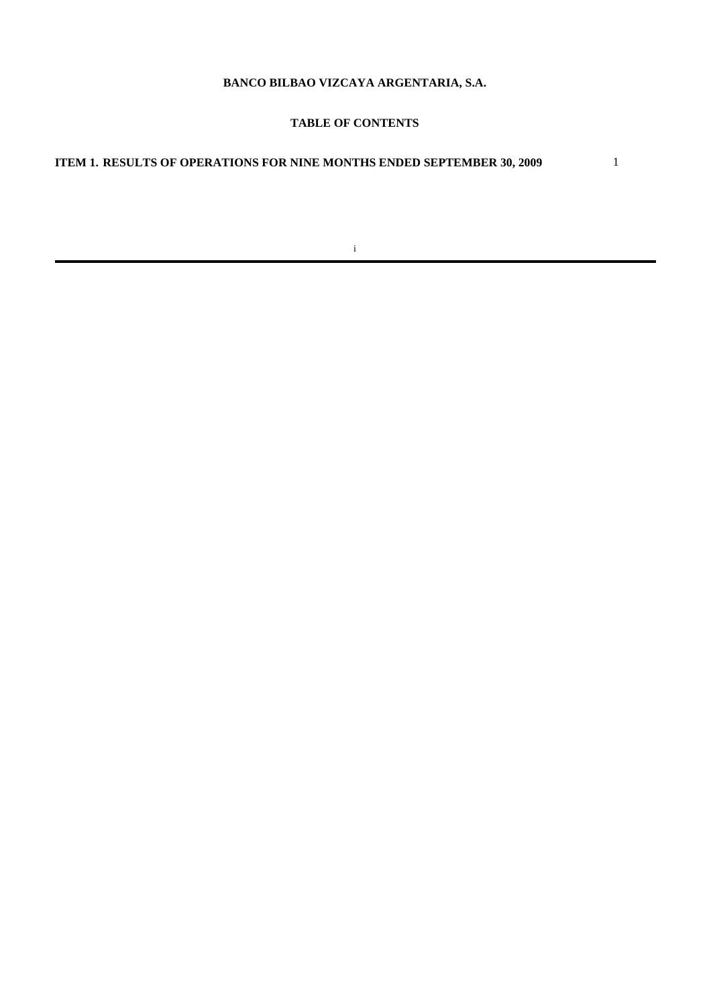# **BANCO BILBAO VIZCAYA ARGENTARIA, S.A.**

# **TABLE OF CONTENTS**

# **ITEM 1. RESULTS OF OPERATIONS FOR NINE MONTHS ENDED SEPTEMBER 30, 2009** 1

i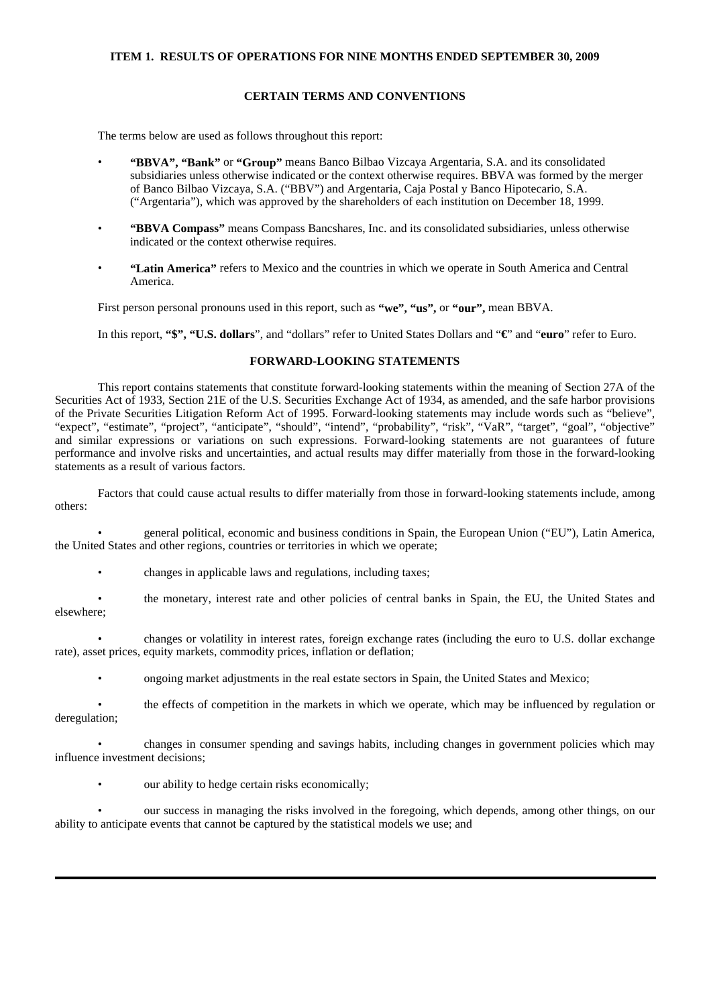## **ITEM 1. RESULTS OF OPERATIONS FOR NINE MONTHS ENDED SEPTEMBER 30, 2009**

### **CERTAIN TERMS AND CONVENTIONS**

The terms below are used as follows throughout this report:

- **"BBVA", "Bank"** or **"Group"** means Banco Bilbao Vizcaya Argentaria, S.A. and its consolidated subsidiaries unless otherwise indicated or the context otherwise requires. BBVA was formed by the merger of Banco Bilbao Vizcaya, S.A. ("BBV") and Argentaria, Caja Postal y Banco Hipotecario, S.A. ("Argentaria"), which was approved by the shareholders of each institution on December 18, 1999.
- **"BBVA Compass"** means Compass Bancshares, Inc. and its consolidated subsidiaries, unless otherwise indicated or the context otherwise requires.
- **"Latin America"** refers to Mexico and the countries in which we operate in South America and Central America.

First person personal pronouns used in this report, such as **"we", "us",** or **"our",** mean BBVA.

In this report, **"\$", "U.S. dollars**", and "dollars" refer to United States Dollars and "**€**" and "**euro**" refer to Euro.

# **FORWARD-LOOKING STATEMENTS**

This report contains statements that constitute forward-looking statements within the meaning of Section 27A of the Securities Act of 1933, Section 21E of the U.S. Securities Exchange Act of 1934, as amended, and the safe harbor provisions of the Private Securities Litigation Reform Act of 1995. Forward-looking statements may include words such as "believe", "expect", "estimate", "project", "anticipate", "should", "intend", "probability", "risk", "VaR", "target", "goal", "objective" and similar expressions or variations on such expressions. Forward-looking statements are not guarantees of future performance and involve risks and uncertainties, and actual results may differ materially from those in the forward-looking statements as a result of various factors.

Factors that could cause actual results to differ materially from those in forward-looking statements include, among others:

• general political, economic and business conditions in Spain, the European Union ("EU"), Latin America, the United States and other regions, countries or territories in which we operate;

- changes in applicable laws and regulations, including taxes;
- the monetary, interest rate and other policies of central banks in Spain, the EU, the United States and elsewhere;

• changes or volatility in interest rates, foreign exchange rates (including the euro to U.S. dollar exchange rate), asset prices, equity markets, commodity prices, inflation or deflation;

• ongoing market adjustments in the real estate sectors in Spain, the United States and Mexico;

• the effects of competition in the markets in which we operate, which may be influenced by regulation or deregulation;

• changes in consumer spending and savings habits, including changes in government policies which may influence investment decisions;

our ability to hedge certain risks economically;

• our success in managing the risks involved in the foregoing, which depends, among other things, on our ability to anticipate events that cannot be captured by the statistical models we use; and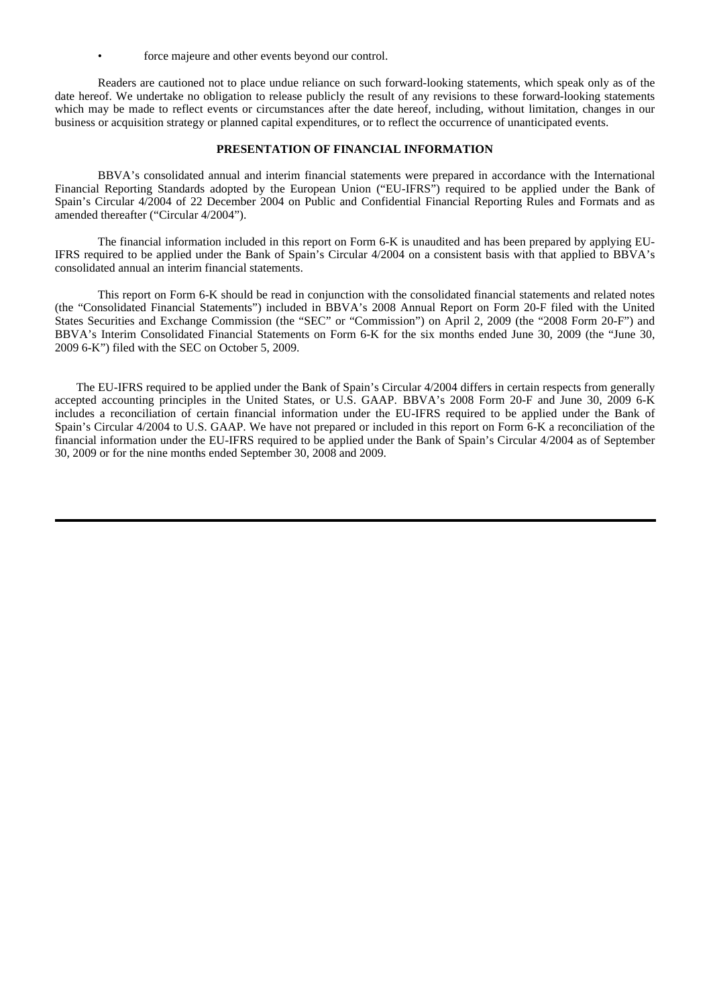force majeure and other events beyond our control.

Readers are cautioned not to place undue reliance on such forward-looking statements, which speak only as of the date hereof. We undertake no obligation to release publicly the result of any revisions to these forward-looking statements which may be made to reflect events or circumstances after the date hereof, including, without limitation, changes in our business or acquisition strategy or planned capital expenditures, or to reflect the occurrence of unanticipated events.

#### **PRESENTATION OF FINANCIAL INFORMATION**

BBVA's consolidated annual and interim financial statements were prepared in accordance with the International Financial Reporting Standards adopted by the European Union ("EU-IFRS") required to be applied under the Bank of Spain's Circular 4/2004 of 22 December 2004 on Public and Confidential Financial Reporting Rules and Formats and as amended thereafter ("Circular 4/2004").

The financial information included in this report on Form 6-K is unaudited and has been prepared by applying EU-IFRS required to be applied under the Bank of Spain's Circular 4/2004 on a consistent basis with that applied to BBVA's consolidated annual an interim financial statements.

This report on Form 6-K should be read in conjunction with the consolidated financial statements and related notes (the "Consolidated Financial Statements") included in BBVA's 2008 Annual Report on Form 20-F filed with the United States Securities and Exchange Commission (the "SEC" or "Commission") on April 2, 2009 (the "2008 Form 20-F") and BBVA's Interim Consolidated Financial Statements on Form 6-K for the six months ended June 30, 2009 (the "June 30, 2009 6-K") filed with the SEC on October 5, 2009.

The EU-IFRS required to be applied under the Bank of Spain's Circular 4/2004 differs in certain respects from generally accepted accounting principles in the United States, or U.S. GAAP. BBVA's 2008 Form 20-F and June 30, 2009 6-K includes a reconciliation of certain financial information under the EU-IFRS required to be applied under the Bank of Spain's Circular 4/2004 to U.S. GAAP. We have not prepared or included in this report on Form 6-K a reconciliation of the financial information under the EU-IFRS required to be applied under the Bank of Spain's Circular 4/2004 as of September 30, 2009 or for the nine months ended September 30, 2008 and 2009.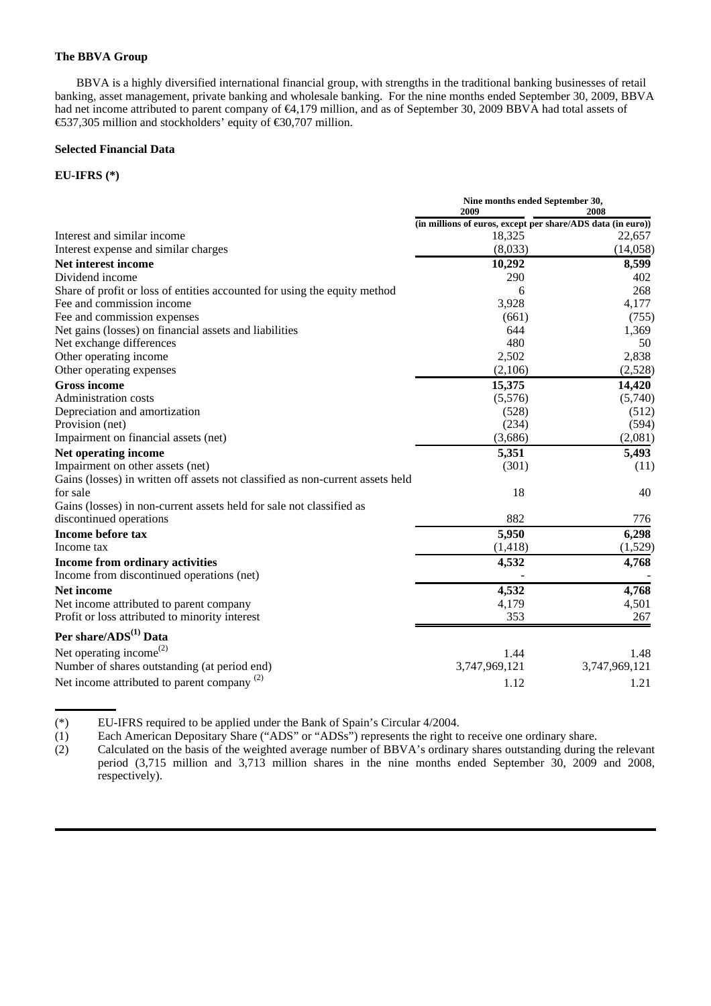#### **The BBVA Group**

BBVA is a highly diversified international financial group, with strengths in the traditional banking businesses of retail banking, asset management, private banking and wholesale banking. For the nine months ended September 30, 2009, BBVA had net income attributed to parent company of €4,179 million, and as of September 30, 2009 BBVA had total assets of €537,305 million and stockholders' equity of €30,707 million.

### **Selected Financial Data**

# **EU-IFRS (\*)**

|                                                                                | Nine months ended September 30,<br>2009<br>2008             |               |  |  |
|--------------------------------------------------------------------------------|-------------------------------------------------------------|---------------|--|--|
|                                                                                | (in millions of euros, except per share/ADS data (in euro)) |               |  |  |
| Interest and similar income                                                    | 18,325                                                      | 22,657        |  |  |
| Interest expense and similar charges                                           | (8,033)                                                     | (14,058)      |  |  |
| Net interest income                                                            | 10,292                                                      | 8,599         |  |  |
| Dividend income                                                                | 290                                                         | 402           |  |  |
| Share of profit or loss of entities accounted for using the equity method      | 6                                                           | 268           |  |  |
| Fee and commission income                                                      | 3,928                                                       | 4,177         |  |  |
| Fee and commission expenses                                                    | (661)                                                       | (755)         |  |  |
| Net gains (losses) on financial assets and liabilities                         | 644                                                         | 1,369         |  |  |
| Net exchange differences                                                       | 480                                                         | 50            |  |  |
| Other operating income                                                         | 2,502                                                       | 2,838         |  |  |
| Other operating expenses                                                       | (2,106)                                                     | (2,528)       |  |  |
| <b>Gross income</b>                                                            | 15,375                                                      | 14,420        |  |  |
| Administration costs                                                           | (5,576)                                                     | (5,740)       |  |  |
| Depreciation and amortization                                                  | (528)                                                       | (512)         |  |  |
| Provision (net)                                                                | (234)                                                       | (594)         |  |  |
| Impairment on financial assets (net)                                           | (3,686)                                                     | (2,081)       |  |  |
| Net operating income                                                           | 5,351                                                       | 5,493         |  |  |
| Impairment on other assets (net)                                               | (301)                                                       | (11)          |  |  |
| Gains (losses) in written off assets not classified as non-current assets held |                                                             |               |  |  |
| for sale                                                                       | 18                                                          | 40            |  |  |
| Gains (losses) in non-current assets held for sale not classified as           |                                                             |               |  |  |
| discontinued operations                                                        | 882                                                         | 776           |  |  |
| Income before tax                                                              | 5,950                                                       | 6,298         |  |  |
| Income tax                                                                     | (1, 418)                                                    | (1,529)       |  |  |
| Income from ordinary activities                                                | 4,532                                                       | 4,768         |  |  |
| Income from discontinued operations (net)                                      |                                                             |               |  |  |
| Net income                                                                     | 4,532                                                       | 4,768         |  |  |
| Net income attributed to parent company                                        | 4,179                                                       | 4,501         |  |  |
| Profit or loss attributed to minority interest                                 | 353                                                         | 267           |  |  |
| Per share/ADS <sup>(1)</sup> Data                                              |                                                             |               |  |  |
| Net operating income <sup><math>(2)</math></sup>                               | 1.44                                                        | 1.48          |  |  |
| Number of shares outstanding (at period end)                                   | 3,747,969,121                                               | 3,747,969,121 |  |  |
| Net income attributed to parent company $^{(2)}$                               | 1.12                                                        | 1.21          |  |  |
|                                                                                |                                                             |               |  |  |

(\*) EU-IFRS required to be applied under the Bank of Spain's Circular 4/2004.<br>
(1) Each American Depositary Share ("ADS" or "ADSs") represents the right to

Each American Depositary Share ("ADS" or "ADSs") represents the right to receive one ordinary share.

(2) Calculated on the basis of the weighted average number of BBVA's ordinary shares outstanding during the relevant period (3,715 million and 3,713 million shares in the nine months ended September 30, 2009 and 2008, respectively).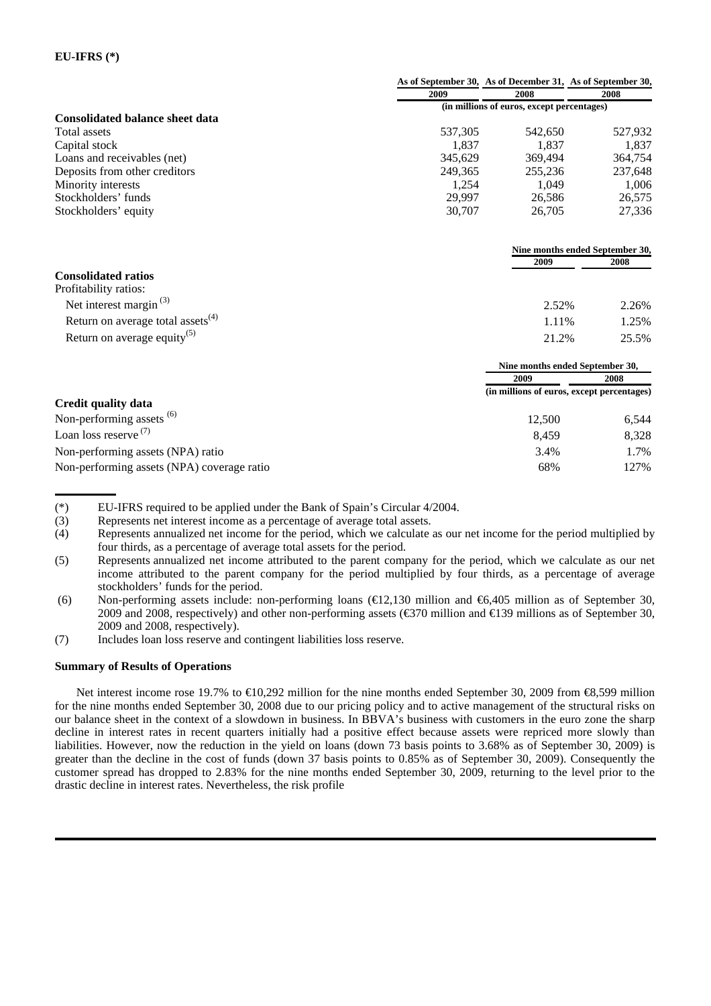# **EU-IFRS (\*)**

|                                               |         | As of September 30, As of December 31, As of September 30, |         |
|-----------------------------------------------|---------|------------------------------------------------------------|---------|
|                                               | 2009    | 2008                                                       | 2008    |
|                                               |         | (in millions of euros, except percentages)                 |         |
| <b>Consolidated balance sheet data</b>        |         |                                                            |         |
| <b>Total assets</b>                           | 537,305 | 542,650                                                    | 527,932 |
| Capital stock                                 | 1,837   | 1,837                                                      | 1,837   |
| Loans and receivables (net)                   | 345.629 | 369,494                                                    | 364,754 |
| Deposits from other creditors                 | 249.365 | 255,236                                                    | 237,648 |
| Minority interests                            | 1,254   | 1,049                                                      | 1,006   |
| Stockholders' funds                           | 29,997  | 26,586                                                     | 26,575  |
| Stockholders' equity                          | 30,707  | 26,705                                                     | 27,336  |
|                                               |         | Nine months ended September 30,                            |         |
|                                               |         | 2009                                                       | 2008    |
| <b>Consolidated ratios</b>                    |         |                                                            |         |
| Profitability ratios:                         |         |                                                            |         |
| Net interest margin <sup>(3)</sup>            |         | 2.52%                                                      | 2.26%   |
| Return on average total assets <sup>(4)</sup> |         | 1.11%                                                      | 1.25%   |
| Return on average equity <sup>(5)</sup>       |         | 21.2%                                                      | 25.5%   |
|                                               |         | Nine months ended September 30,                            |         |
|                                               |         | 2009                                                       | 2008    |
| Credit quality data                           |         | (in millions of euros, except percentages)                 |         |
|                                               |         |                                                            |         |
| Non-performing assets <sup>(6)</sup>          |         | 12,500                                                     | 6,544   |
| Loan loss reserve <sup>(7)</sup>              |         | 8,459                                                      | 8,328   |
| Non-performing assets (NPA) ratio             |         | 3.4%                                                       | 1.7%    |
| Non-performing assets (NPA) coverage ratio    |         | 68%                                                        | 127%    |

- (\*) EU-IFRS required to be applied under the Bank of Spain's Circular 4/2004.
- (3) Represents net interest income as a percentage of average total assets.<br>(4) Represents annualized net income for the period, which we calculate
- Represents annualized net income for the period, which we calculate as our net income for the period multiplied by four thirds, as a percentage of average total assets for the period.
- (5) Represents annualized net income attributed to the parent company for the period, which we calculate as our net income attributed to the parent company for the period multiplied by four thirds, as a percentage of average stockholders' funds for the period.
- (6) Non-performing assets include: non-performing loans (€12,130 million and €6,405 million as of September 30, 2009 and 2008, respectively) and other non-performing assets ( $\text{\textsterling}370$  million and  $\text{\textsterling}139$  millions as of September 30, 2009 and 2008, respectively).
- (7) Includes loan loss reserve and contingent liabilities loss reserve.

### **Summary of Results of Operations**

Net interest income rose 19.7% to €10,292 million for the nine months ended September 30, 2009 from €8,599 million for the nine months ended September 30, 2008 due to our pricing policy and to active management of the structural risks on our balance sheet in the context of a slowdown in business. In BBVA's business with customers in the euro zone the sharp decline in interest rates in recent quarters initially had a positive effect because assets were repriced more slowly than liabilities. However, now the reduction in the yield on loans (down 73 basis points to 3.68% as of September 30, 2009) is greater than the decline in the cost of funds (down 37 basis points to 0.85% as of September 30, 2009). Consequently the customer spread has dropped to 2.83% for the nine months ended September 30, 2009, returning to the level prior to the drastic decline in interest rates. Nevertheless, the risk profile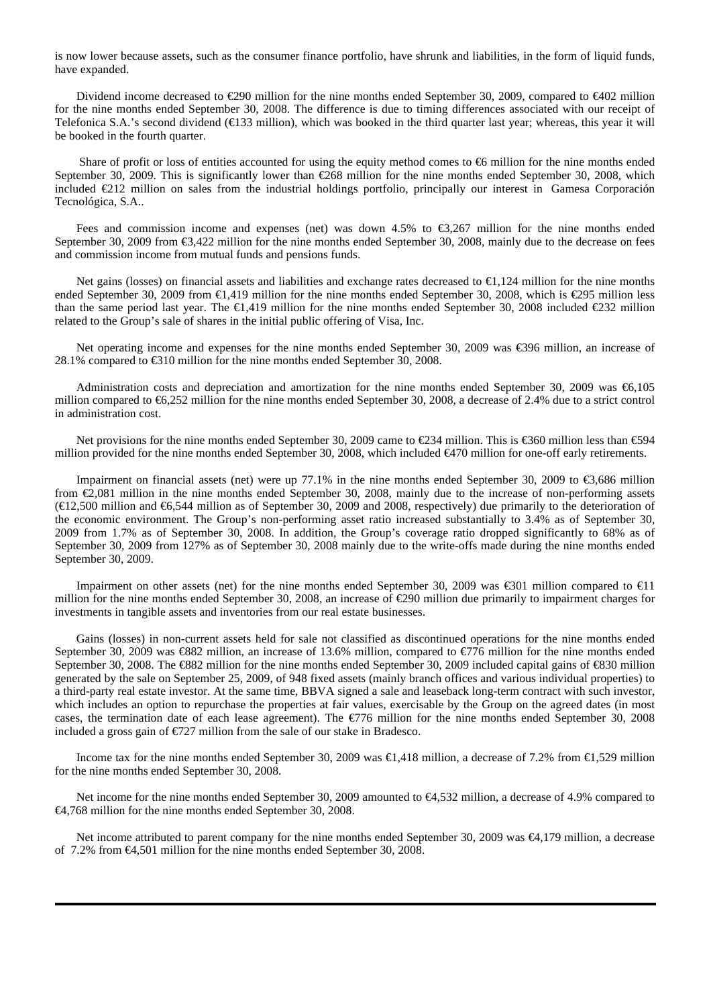is now lower because assets, such as the consumer finance portfolio, have shrunk and liabilities, in the form of liquid funds, have expanded.

Dividend income decreased to €290 million for the nine months ended September 30, 2009, compared to €402 million for the nine months ended September 30, 2008. The difference is due to timing differences associated with our receipt of Telefonica S.A.'s second dividend (€133 million), which was booked in the third quarter last year; whereas, this year it will be booked in the fourth quarter.

Share of profit or loss of entities accounted for using the equity method comes to  $66$  million for the nine months ended September 30, 2009. This is significantly lower than €268 million for the nine months ended September 30, 2008, which included €212 million on sales from the industrial holdings portfolio, principally our interest in Gamesa Corporación Tecnológica, S.A..

Fees and commission income and expenses (net) was down 4.5% to €3,267 million for the nine months ended September 30, 2009 from €3,422 million for the nine months ended September 30, 2008, mainly due to the decrease on fees and commission income from mutual funds and pensions funds.

Net gains (losses) on financial assets and liabilities and exchange rates decreased to €1,124 million for the nine months ended September 30, 2009 from €1,419 million for the nine months ended September 30, 2008, which is €295 million less than the same period last year. The  $\in$ 1,419 million for the nine months ended September 30, 2008 included  $\in$ 232 million related to the Group's sale of shares in the initial public offering of Visa, Inc.

Net operating income and expenses for the nine months ended September 30, 2009 was €396 million, an increase of 28.1% compared to €310 million for the nine months ended September 30, 2008.

Administration costs and depreciation and amortization for the nine months ended September 30, 2009 was €6,105 million compared to €6,252 million for the nine months ended September 30, 2008, a decrease of 2.4% due to a strict control in administration cost.

Net provisions for the nine months ended September 30, 2009 came to €234 million. This is €360 million less than €94 million provided for the nine months ended September 30, 2008, which included  $\bigoplus$  70 million for one-off early retirements.

Impairment on financial assets (net) were up 77.1% in the nine months ended September 30, 2009 to €3,686 million from €2,081 million in the nine months ended September 30, 2008, mainly due to the increase of non-performing assets (€12,500 million and €6,544 million as of September 30, 2009 and 2008, respectively) due primarily to the deterioration of the economic environment. The Group's non-performing asset ratio increased substantially to 3.4% as of September 30, 2009 from 1.7% as of September 30, 2008. In addition, the Group's coverage ratio dropped significantly to 68% as of September 30, 2009 from 127% as of September 30, 2008 mainly due to the write-offs made during the nine months ended September 30, 2009.

Impairment on other assets (net) for the nine months ended September 30, 2009 was  $\in 301$  million compared to  $\in 11$ million for the nine months ended September 30, 2008, an increase of €290 million due primarily to impairment charges for investments in tangible assets and inventories from our real estate businesses.

Gains (losses) in non-current assets held for sale not classified as discontinued operations for the nine months ended September 30, 2009 was €882 million, an increase of 13.6% million, compared to €776 million for the nine months ended September 30, 2008. The €882 million for the nine months ended September 30, 2009 included capital gains of €830 million generated by the sale on September 25, 2009, of 948 fixed assets (mainly branch offices and various individual properties) to a third-party real estate investor. At the same time, BBVA signed a sale and leaseback long-term contract with such investor, which includes an option to repurchase the properties at fair values, exercisable by the Group on the agreed dates (in most cases, the termination date of each lease agreement). The  $\epsilon$ 776 million for the nine months ended September 30, 2008 included a gross gain of  $\epsilon$ 727 million from the sale of our stake in Bradesco.

Income tax for the nine months ended September 30, 2009 was €1,418 million, a decrease of 7.2% from €1,529 million for the nine months ended September 30, 2008.

Net income for the nine months ended September 30, 2009 amounted to €4,532 million, a decrease of 4.9% compared to €4,768 million for the nine months ended September 30, 2008.

Net income attributed to parent company for the nine months ended September 30, 2009 was €4,179 million, a decrease of 7.2% from €4,501 million for the nine months ended September 30, 2008.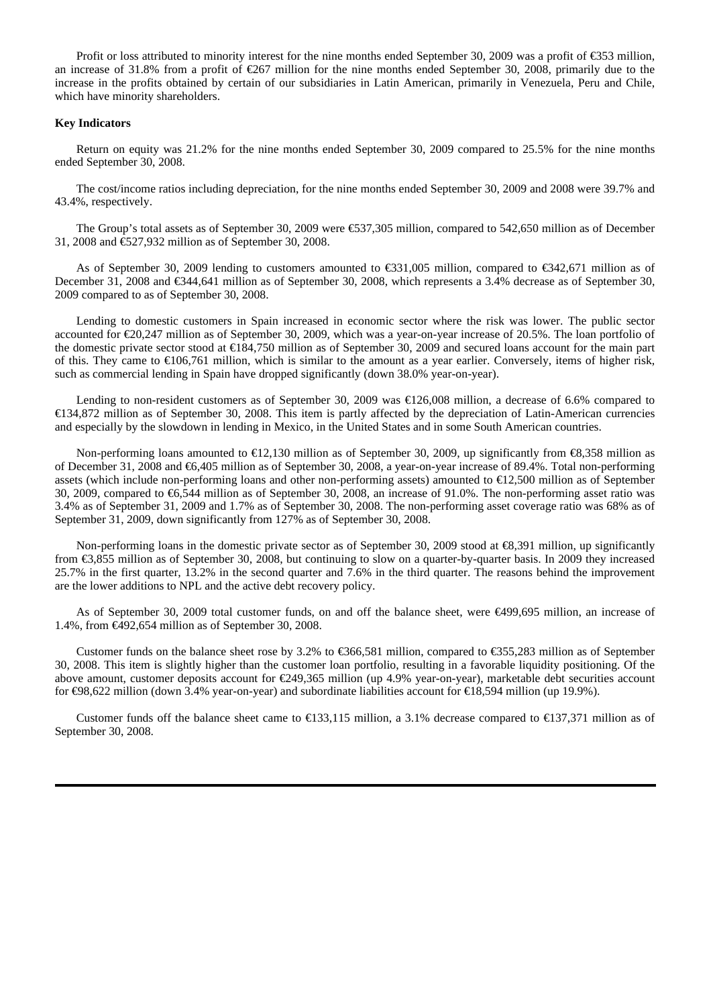Profit or loss attributed to minority interest for the nine months ended September 30, 2009 was a profit of  $\text{\textless}53$  million, an increase of 31.8% from a profit of  $\text{\textsterling}67$  million for the nine months ended September 30, 2008, primarily due to the increase in the profits obtained by certain of our subsidiaries in Latin American, primarily in Venezuela, Peru and Chile, which have minority shareholders.

#### **Key Indicators**

Return on equity was 21.2% for the nine months ended September 30, 2009 compared to 25.5% for the nine months ended September 30, 2008.

The cost/income ratios including depreciation, for the nine months ended September 30, 2009 and 2008 were 39.7% and 43.4%, respectively.

The Group's total assets as of September 30, 2009 were €537,305 million, compared to 542,650 million as of December 31, 2008 and €527,932 million as of September 30, 2008.

As of September 30, 2009 lending to customers amounted to €331,005 million, compared to €342,671 million as of December 31, 2008 and €344,641 million as of September 30, 2008, which represents a 3.4% decrease as of September 30, 2009 compared to as of September 30, 2008.

Lending to domestic customers in Spain increased in economic sector where the risk was lower. The public sector accounted for  $\epsilon 20,247$  million as of September 30, 2009, which was a year-on-year increase of 20.5%. The loan portfolio of the domestic private sector stood at €184,750 million as of September 30, 2009 and secured loans account for the main part of this. They came to  $\epsilon 106,761$  million, which is similar to the amount as a year earlier. Conversely, items of higher risk, such as commercial lending in Spain have dropped significantly (down 38.0% year-on-year).

Lending to non-resident customers as of September 30, 2009 was €126,008 million, a decrease of 6.6% compared to €134,872 million as of September 30, 2008. This item is partly affected by the depreciation of Latin-American currencies and especially by the slowdown in lending in Mexico, in the United States and in some South American countries.

Non-performing loans amounted to €12,130 million as of September 30, 2009, up significantly from €8,358 million as of December 31, 2008 and €6,405 million as of September 30, 2008, a year-on-year increase of 89.4%. Total non-performing assets (which include non-performing loans and other non-performing assets) amounted to €12,500 million as of September 30, 2009, compared to €6,544 million as of September 30, 2008, an increase of 91.0%. The non-performing asset ratio was 3.4% as of September 31, 2009 and 1.7% as of September 30, 2008. The non-performing asset coverage ratio was 68% as of September 31, 2009, down significantly from 127% as of September 30, 2008.

Non-performing loans in the domestic private sector as of September 30, 2009 stood at  $\epsilon$ 8,391 million, up significantly from €3,855 million as of September 30, 2008, but continuing to slow on a quarter-by-quarter basis. In 2009 they increased 25.7% in the first quarter, 13.2% in the second quarter and 7.6% in the third quarter. The reasons behind the improvement are the lower additions to NPL and the active debt recovery policy.

As of September 30, 2009 total customer funds, on and off the balance sheet, were €499,695 million, an increase of 1.4%, from €492,654 million as of September 30, 2008.

Customer funds on the balance sheet rose by 3.2% to €366,581 million, compared to €355,283 million as of September 30, 2008. This item is slightly higher than the customer loan portfolio, resulting in a favorable liquidity positioning. Of the above amount, customer deposits account for €249,365 million (up 4.9% year-on-year), marketable debt securities account for €98,622 million (down 3.4% year-on-year) and subordinate liabilities account for €18,594 million (up 19.9%).

Customer funds off the balance sheet came to €133,115 million, a 3.1% decrease compared to €137,371 million as of September 30, 2008.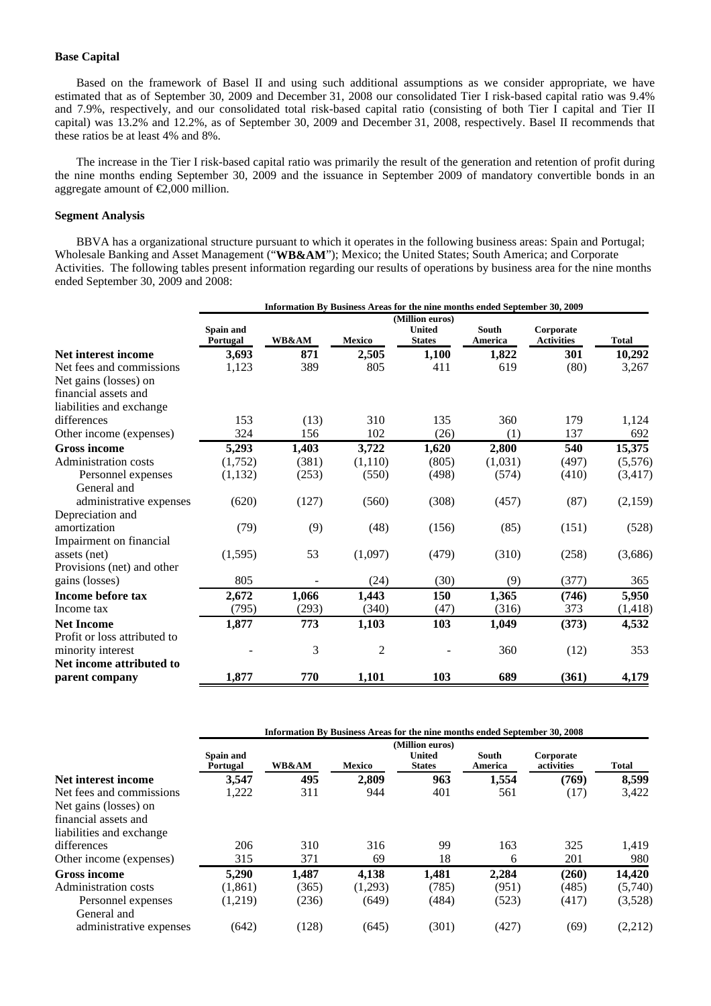#### **Base Capital**

Based on the framework of Basel II and using such additional assumptions as we consider appropriate, we have estimated that as of September 30, 2009 and December 31, 2008 our consolidated Tier I risk-based capital ratio was 9.4% and 7.9%, respectively, and our consolidated total risk-based capital ratio (consisting of both Tier I capital and Tier II capital) was 13.2% and 12.2%, as of September 30, 2009 and December 31, 2008, respectively. Basel II recommends that these ratios be at least 4% and 8%.

The increase in the Tier I risk-based capital ratio was primarily the result of the generation and retention of profit during the nine months ending September 30, 2009 and the issuance in September 2009 of mandatory convertible bonds in an aggregate amount of  $\epsilon 2,000$  million.

#### **Segment Analysis**

BBVA has a organizational structure pursuant to which it operates in the following business areas: Spain and Portugal; Wholesale Banking and Asset Management ("**WB&AM**"); Mexico; the United States; South America; and Corporate Activities. The following tables present information regarding our results of operations by business area for the nine months ended September 30, 2009 and 2008:

|                              | Information By Business Areas for the nine months ended September 30, 2009 |                  |                |                                                   |                         |                                |              |  |
|------------------------------|----------------------------------------------------------------------------|------------------|----------------|---------------------------------------------------|-------------------------|--------------------------------|--------------|--|
|                              | Spain and<br>Portugal                                                      | <b>WB&amp;AM</b> | <b>Mexico</b>  | (Million euros)<br><b>United</b><br><b>States</b> | <b>South</b><br>America | Corporate<br><b>Activities</b> | <b>Total</b> |  |
| Net interest income          | 3,693                                                                      | 871              | 2,505          | 1,100                                             | 1,822                   | 301                            | 10,292       |  |
| Net fees and commissions     | 1,123                                                                      | 389              | 805            | 411                                               | 619                     | (80)                           | 3,267        |  |
| Net gains (losses) on        |                                                                            |                  |                |                                                   |                         |                                |              |  |
| financial assets and         |                                                                            |                  |                |                                                   |                         |                                |              |  |
| liabilities and exchange     |                                                                            |                  |                |                                                   |                         |                                |              |  |
| differences                  | 153                                                                        | (13)             | 310            | 135                                               | 360                     | 179                            | 1,124        |  |
| Other income (expenses)      | 324                                                                        | 156              | 102            | (26)                                              | (1)                     | 137                            | 692          |  |
| <b>Gross income</b>          | 5,293                                                                      | 1,403            | 3,722          | 1,620                                             | 2,800                   | 540                            | 15,375       |  |
| Administration costs         | (1,752)                                                                    | (381)            | (1,110)        | (805)                                             | (1,031)                 | (497)                          | (5,576)      |  |
| Personnel expenses           | (1, 132)                                                                   | (253)            | (550)          | (498)                                             | (574)                   | (410)                          | (3, 417)     |  |
| General and                  |                                                                            |                  |                |                                                   |                         |                                |              |  |
| administrative expenses      | (620)                                                                      | (127)            | (560)          | (308)                                             | (457)                   | (87)                           | (2,159)      |  |
| Depreciation and             |                                                                            |                  |                |                                                   |                         |                                |              |  |
| amortization                 | (79)                                                                       | (9)              | (48)           | (156)                                             | (85)                    | (151)                          | (528)        |  |
| Impairment on financial      |                                                                            |                  |                |                                                   |                         |                                |              |  |
| assets (net)                 | (1,595)                                                                    | 53               | (1,097)        | (479)                                             | (310)                   | (258)                          | (3,686)      |  |
| Provisions (net) and other   |                                                                            |                  |                |                                                   |                         |                                |              |  |
| gains (losses)               | 805                                                                        |                  | (24)           | (30)                                              | (9)                     | (377)                          | 365          |  |
| Income before tax            | 2,672                                                                      | 1,066            | 1,443          | 150                                               | 1,365                   | (746)                          | 5,950        |  |
| Income tax                   | (795)                                                                      | (293)            | (340)          | (47)                                              | (316)                   | 373                            | (1, 418)     |  |
| <b>Net Income</b>            | 1,877                                                                      | 773              | 1,103          | 103                                               | 1,049                   | (373)                          | 4,532        |  |
| Profit or loss attributed to |                                                                            |                  |                |                                                   |                         |                                |              |  |
| minority interest            |                                                                            | 3                | $\overline{c}$ |                                                   | 360                     | (12)                           | 353          |  |
| Net income attributed to     |                                                                            |                  |                |                                                   |                         |                                |              |  |
| parent company               | 1,877                                                                      | 770              | 1,101          | 103                                               | 689                     | (361)                          | 4,179        |  |

|                          | Information By Business Areas for the nine months ended September 30, 2008 |                  |         |                                |                  |                         |         |
|--------------------------|----------------------------------------------------------------------------|------------------|---------|--------------------------------|------------------|-------------------------|---------|
|                          | (Million euros)                                                            |                  |         |                                |                  |                         |         |
|                          | Spain and<br>Portugal                                                      | <b>WB&amp;AM</b> | Mexico  | <b>United</b><br><b>States</b> | South<br>America | Corporate<br>activities | Total   |
| Net interest income      | 3,547                                                                      | 495              | 2,809   | 963                            | 1,554            | (769)                   | 8,599   |
| Net fees and commissions | 1,222                                                                      | 311              | 944     | 401                            | 561              | (17)                    | 3,422   |
| Net gains (losses) on    |                                                                            |                  |         |                                |                  |                         |         |
| financial assets and     |                                                                            |                  |         |                                |                  |                         |         |
| liabilities and exchange |                                                                            |                  |         |                                |                  |                         |         |
| differences              | 206                                                                        | 310              | 316     | 99                             | 163              | 325                     | 1,419   |
| Other income (expenses)  | 315                                                                        | 371              | 69      | 18                             | 6                | 201                     | 980     |
| <b>Gross income</b>      | 5,290                                                                      | 1.487            | 4,138   | 1,481                          | 2,284            | (260)                   | 14,420  |
| Administration costs     | (1, 861)                                                                   | (365)            | (1,293) | (785)                          | (951)            | (485)                   | (5,740) |
| Personnel expenses       | (1,219)                                                                    | (236)            | (649)   | (484)                          | (523)            | (417)                   | (3,528) |
| General and              |                                                                            |                  |         |                                |                  |                         |         |
| administrative expenses  | (642)                                                                      | (128)            | (645)   | (301)                          | (427)            | (69)                    | (2,212) |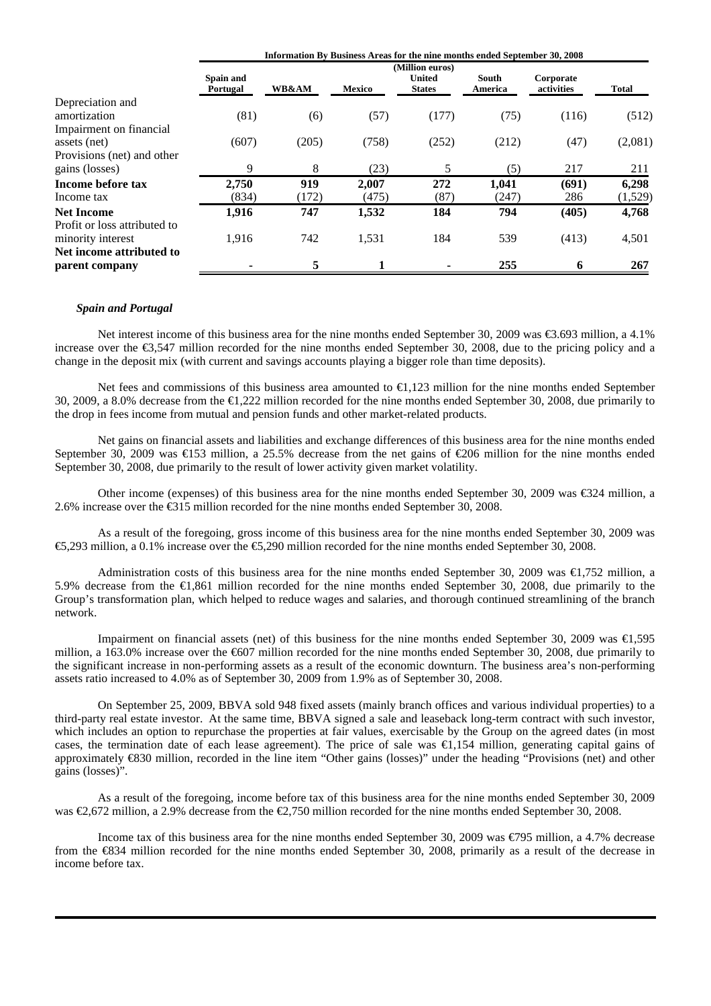|                                                             | Information By Business Areas for the nine months ended September 30, 2008 |              |                |                                                   |                  |                         |                  |
|-------------------------------------------------------------|----------------------------------------------------------------------------|--------------|----------------|---------------------------------------------------|------------------|-------------------------|------------------|
|                                                             | Spain and<br>Portugal                                                      | WB&AM        | <b>Mexico</b>  | (Million euros)<br><b>United</b><br><b>States</b> | South<br>America | Corporate<br>activities | <b>Total</b>     |
| Depreciation and<br>amortization<br>Impairment on financial | (81)                                                                       | (6)          | (57)           | (177)                                             | (75)             | (116)                   | (512)            |
| assets (net)                                                | (607)                                                                      | (205)        | (758)          | (252)                                             | (212)            | (47)                    | (2,081)          |
| Provisions (net) and other<br>gains (losses)                | 9                                                                          | 8            | (23)           | 5                                                 | (5)              | 217                     | 211              |
| Income before tax<br>Income tax                             | 2,750<br>(834)                                                             | 919<br>(172) | 2.007<br>(475) | 272<br>(87)                                       | 1,041<br>(247)   | (691)<br>286            | 6,298<br>(1,529) |
| <b>Net Income</b><br>Profit or loss attributed to           | 1,916                                                                      | 747          | 1,532          | 184                                               | 794              | (405)                   | 4,768            |
| minority interest<br>Net income attributed to               | 1,916                                                                      | 742          | 1,531          | 184                                               | 539              | (413)                   | 4,501            |
| parent company                                              |                                                                            | 5            |                |                                                   | 255              | 6                       | 267              |

#### *Spain and Portugal*

Net interest income of this business area for the nine months ended September 30, 2009 was €3.693 million, a 4.1% increase over the €3,547 million recorded for the nine months ended September 30, 2008, due to the pricing policy and a change in the deposit mix (with current and savings accounts playing a bigger role than time deposits).

Net fees and commissions of this business area amounted to €1,123 million for the nine months ended September 30, 2009, a 8.0% decrease from the €1,222 million recorded for the nine months ended September 30, 2008, due primarily to the drop in fees income from mutual and pension funds and other market-related products.

Net gains on financial assets and liabilities and exchange differences of this business area for the nine months ended September 30, 2009 was  $\bigoplus$  53 million, a 25.5% decrease from the net gains of  $\bigoplus$ 06 million for the nine months ended September 30, 2008, due primarily to the result of lower activity given market volatility.

Other income (expenses) of this business area for the nine months ended September 30, 2009 was €324 million, a 2.6% increase over the €315 million recorded for the nine months ended September 30, 2008.

As a result of the foregoing, gross income of this business area for the nine months ended September 30, 2009 was €5,293 million, a 0.1% increase over the €5,290 million recorded for the nine months ended September 30, 2008.

Administration costs of this business area for the nine months ended September 30, 2009 was €1,752 million, a 5.9% decrease from the €1,861 million recorded for the nine months ended September 30, 2008, due primarily to the Group's transformation plan, which helped to reduce wages and salaries, and thorough continued streamlining of the branch network.

Impairment on financial assets (net) of this business for the nine months ended September 30, 2009 was €1,595 million, a 163.0% increase over the €607 million recorded for the nine months ended September 30, 2008, due primarily to the significant increase in non-performing assets as a result of the economic downturn. The business area's non-performing assets ratio increased to 4.0% as of September 30, 2009 from 1.9% as of September 30, 2008.

On September 25, 2009, BBVA sold 948 fixed assets (mainly branch offices and various individual properties) to a third-party real estate investor. At the same time, BBVA signed a sale and leaseback long-term contract with such investor, which includes an option to repurchase the properties at fair values, exercisable by the Group on the agreed dates (in most cases, the termination date of each lease agreement). The price of sale was  $\bigoplus$ , 154 million, generating capital gains of approximately €830 million, recorded in the line item "Other gains (losses)" under the heading "Provisions (net) and other gains (losses)".

As a result of the foregoing, income before tax of this business area for the nine months ended September 30, 2009 was €2,672 million, a 2.9% decrease from the €2,750 million recorded for the nine months ended September 30, 2008.

Income tax of this business area for the nine months ended September 30, 2009 was €795 million, a 4.7% decrease from the  $\text{\textsterling}34$  million recorded for the nine months ended September 30, 2008, primarily as a result of the decrease in income before tax.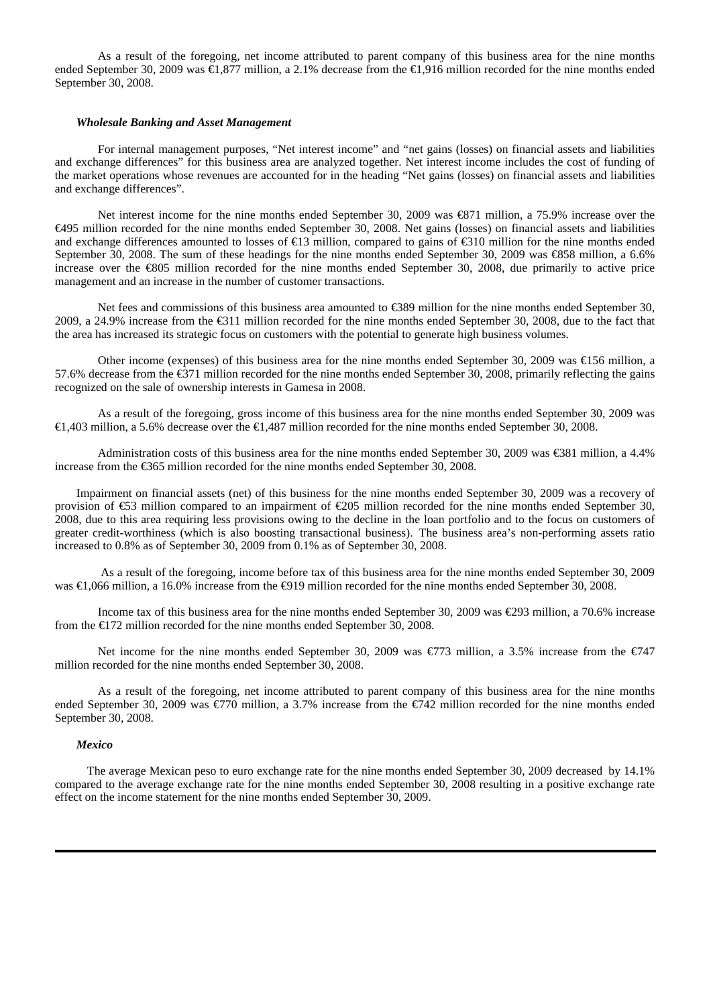As a result of the foregoing, net income attributed to parent company of this business area for the nine months ended September 30, 2009 was €1,877 million, a 2.1% decrease from the €1,916 million recorded for the nine months ended September 30, 2008.

#### *Wholesale Banking and Asset Management*

For internal management purposes, "Net interest income" and "net gains (losses) on financial assets and liabilities and exchange differences" for this business area are analyzed together. Net interest income includes the cost of funding of the market operations whose revenues are accounted for in the heading "Net gains (losses) on financial assets and liabilities and exchange differences".

Net interest income for the nine months ended September 30, 2009 was €871 million, a 75.9% increase over the €495 million recorded for the nine months ended September 30, 2008. Net gains (losses) on financial assets and liabilities and exchange differences amounted to losses of €13 million, compared to gains of €310 million for the nine months ended September 30, 2008. The sum of these headings for the nine months ended September 30, 2009 was €858 million, a 6.6% increase over the €805 million recorded for the nine months ended September 30, 2008, due primarily to active price management and an increase in the number of customer transactions.

Net fees and commissions of this business area amounted to €389 million for the nine months ended September 30, 2009, a 24.9% increase from the €311 million recorded for the nine months ended September 30, 2008, due to the fact that the area has increased its strategic focus on customers with the potential to generate high business volumes.

Other income (expenses) of this business area for the nine months ended September 30, 2009 was €156 million, a 57.6% decrease from the €371 million recorded for the nine months ended September 30, 2008, primarily reflecting the gains recognized on the sale of ownership interests in Gamesa in 2008.

As a result of the foregoing, gross income of this business area for the nine months ended September 30, 2009 was €1,403 million, a 5.6% decrease over the €1,487 million recorded for the nine months ended September 30, 2008.

Administration costs of this business area for the nine months ended September 30, 2009 was €381 million, a 4.4% increase from the €365 million recorded for the nine months ended September 30, 2008.

Impairment on financial assets (net) of this business for the nine months ended September 30, 2009 was a recovery of provision of €53 million compared to an impairment of €205 million recorded for the nine months ended September 30, 2008, due to this area requiring less provisions owing to the decline in the loan portfolio and to the focus on customers of greater credit-worthiness (which is also boosting transactional business). The business area's non-performing assets ratio increased to 0.8% as of September 30, 2009 from 0.1% as of September 30, 2008.

 As a result of the foregoing, income before tax of this business area for the nine months ended September 30, 2009 was €1,066 million, a 16.0% increase from the €919 million recorded for the nine months ended September 30, 2008.

Income tax of this business area for the nine months ended September 30, 2009 was €293 million, a 70.6% increase from the €172 million recorded for the nine months ended September 30, 2008.

Net income for the nine months ended September 30, 2009 was €773 million, a 3.5% increase from the €747 million recorded for the nine months ended September 30, 2008.

As a result of the foregoing, net income attributed to parent company of this business area for the nine months ended September 30, 2009 was  $\epsilon$ 70 million, a 3.7% increase from the  $\epsilon$ 742 million recorded for the nine months ended September 30, 2008.

#### *Mexico*

The average Mexican peso to euro exchange rate for the nine months ended September 30, 2009 decreased by 14.1% compared to the average exchange rate for the nine months ended September 30, 2008 resulting in a positive exchange rate effect on the income statement for the nine months ended September 30, 2009.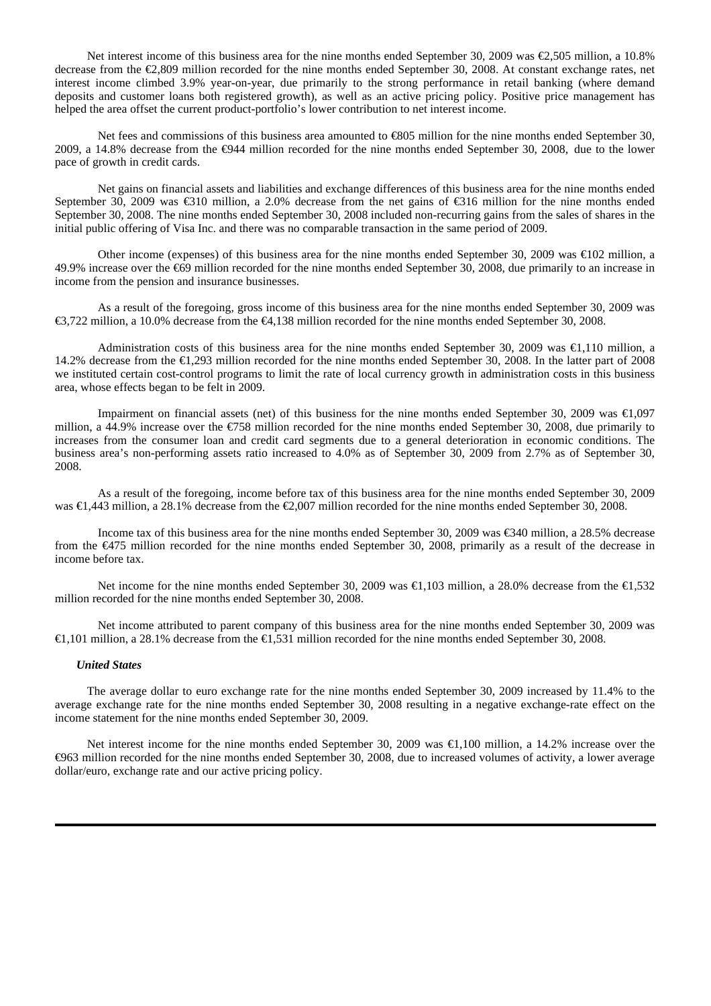Net interest income of this business area for the nine months ended September 30, 2009 was €2,505 million, a 10.8% decrease from the €2,809 million recorded for the nine months ended September 30, 2008. At constant exchange rates, net interest income climbed 3.9% year-on-year, due primarily to the strong performance in retail banking (where demand deposits and customer loans both registered growth), as well as an active pricing policy. Positive price management has helped the area offset the current product-portfolio's lower contribution to net interest income.

Net fees and commissions of this business area amounted to €805 million for the nine months ended September 30, 2009, a 14.8% decrease from the €944 million recorded for the nine months ended September 30, 2008, due to the lower pace of growth in credit cards.

Net gains on financial assets and liabilities and exchange differences of this business area for the nine months ended September 30, 2009 was €310 million, a 2.0% decrease from the net gains of €316 million for the nine months ended September 30, 2008. The nine months ended September 30, 2008 included non-recurring gains from the sales of shares in the initial public offering of Visa Inc. and there was no comparable transaction in the same period of 2009.

Other income (expenses) of this business area for the nine months ended September 30, 2009 was €102 million, a 49.9% increase over the €69 million recorded for the nine months ended September 30, 2008, due primarily to an increase in income from the pension and insurance businesses.

As a result of the foregoing, gross income of this business area for the nine months ended September 30, 2009 was €3,722 million, a 10.0% decrease from the €4,138 million recorded for the nine months ended September 30, 2008.

Administration costs of this business area for the nine months ended September 30, 2009 was €1,110 million, a 14.2% decrease from the €1,293 million recorded for the nine months ended September 30, 2008. In the latter part of 2008 we instituted certain cost-control programs to limit the rate of local currency growth in administration costs in this business area, whose effects began to be felt in 2009.

Impairment on financial assets (net) of this business for the nine months ended September 30, 2009 was €1,097 million, a 44.9% increase over the €758 million recorded for the nine months ended September 30, 2008, due primarily to increases from the consumer loan and credit card segments due to a general deterioration in economic conditions. The business area's non-performing assets ratio increased to 4.0% as of September 30, 2009 from 2.7% as of September 30, 2008.

As a result of the foregoing, income before tax of this business area for the nine months ended September 30, 2009 was €1,443 million, a 28.1% decrease from the €2,007 million recorded for the nine months ended September 30, 2008.

Income tax of this business area for the nine months ended September 30, 2009 was €340 million, a 28.5% decrease from the €475 million recorded for the nine months ended September 30, 2008, primarily as a result of the decrease in income before tax.

Net income for the nine months ended September 30, 2009 was €1,103 million, a 28.0% decrease from the €1,532 million recorded for the nine months ended September 30, 2008.

Net income attributed to parent company of this business area for the nine months ended September 30, 2009 was €1,101 million, a 28.1% decrease from the €1,531 million recorded for the nine months ended September 30, 2008.

#### *United States*

The average dollar to euro exchange rate for the nine months ended September 30, 2009 increased by 11.4% to the average exchange rate for the nine months ended September 30, 2008 resulting in a negative exchange-rate effect on the income statement for the nine months ended September 30, 2009.

Net interest income for the nine months ended September 30, 2009 was €1,100 million, a 14.2% increase over the €963 million recorded for the nine months ended September 30, 2008, due to increased volumes of activity, a lower average dollar/euro, exchange rate and our active pricing policy.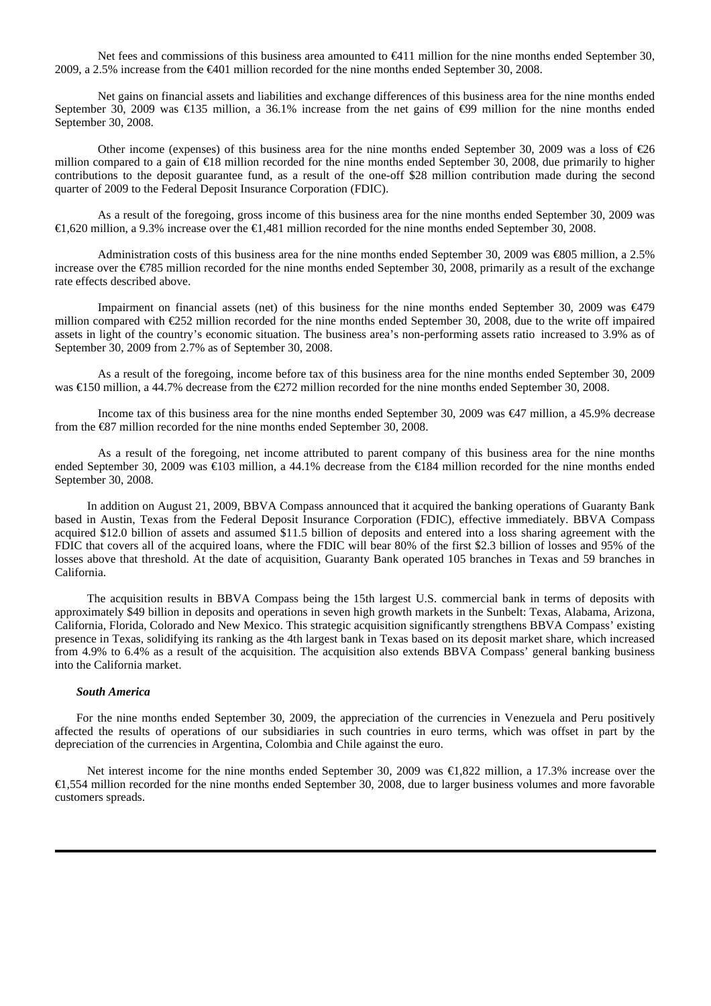Net fees and commissions of this business area amounted to €411 million for the nine months ended September 30, 2009, a 2.5% increase from the €401 million recorded for the nine months ended September 30, 2008.

Net gains on financial assets and liabilities and exchange differences of this business area for the nine months ended September 30, 2009 was €135 million, a 36.1% increase from the net gains of  $\Theta$ 9 million for the nine months ended September 30, 2008.

Other income (expenses) of this business area for the nine months ended September 30, 2009 was a loss of  $\epsilon$ 06 million compared to a gain of €18 million recorded for the nine months ended September 30, 2008, due primarily to higher contributions to the deposit guarantee fund, as a result of the one-off \$28 million contribution made during the second quarter of 2009 to the Federal Deposit Insurance Corporation (FDIC).

As a result of the foregoing, gross income of this business area for the nine months ended September 30, 2009 was €1,620 million, a 9.3% increase over the €1,481 million recorded for the nine months ended September 30, 2008.

Administration costs of this business area for the nine months ended September 30, 2009 was €805 million, a 2.5% increase over the €785 million recorded for the nine months ended September 30, 2008, primarily as a result of the exchange rate effects described above.

Impairment on financial assets (net) of this business for the nine months ended September 30, 2009 was €479 million compared with  $\epsilon$ 252 million recorded for the nine months ended September 30, 2008, due to the write off impaired assets in light of the country's economic situation. The business area's non-performing assets ratio increased to 3.9% as of September 30, 2009 from 2.7% as of September 30, 2008.

As a result of the foregoing, income before tax of this business area for the nine months ended September 30, 2009 was €150 million, a 44.7% decrease from the €272 million recorded for the nine months ended September 30, 2008.

Income tax of this business area for the nine months ended September 30, 2009 was €47 million, a 45.9% decrease from the €87 million recorded for the nine months ended September 30, 2008.

As a result of the foregoing, net income attributed to parent company of this business area for the nine months ended September 30, 2009 was €103 million, a 44.1% decrease from the €184 million recorded for the nine months ended September 30, 2008.

In addition on August 21, 2009, BBVA Compass announced that it acquired the banking operations of Guaranty Bank based in Austin, Texas from the Federal Deposit Insurance Corporation (FDIC), effective immediately. BBVA Compass acquired \$12.0 billion of assets and assumed \$11.5 billion of deposits and entered into a loss sharing agreement with the FDIC that covers all of the acquired loans, where the FDIC will bear 80% of the first \$2.3 billion of losses and 95% of the losses above that threshold. At the date of acquisition, Guaranty Bank operated 105 branches in Texas and 59 branches in California.

The acquisition results in BBVA Compass being the 15th largest U.S. commercial bank in terms of deposits with approximately \$49 billion in deposits and operations in seven high growth markets in the Sunbelt: Texas, Alabama, Arizona, California, Florida, Colorado and New Mexico. This strategic acquisition significantly strengthens BBVA Compass' existing presence in Texas, solidifying its ranking as the 4th largest bank in Texas based on its deposit market share, which increased from 4.9% to 6.4% as a result of the acquisition. The acquisition also extends BBVA Compass' general banking business into the California market.

#### *South America*

For the nine months ended September 30, 2009, the appreciation of the currencies in Venezuela and Peru positively affected the results of operations of our subsidiaries in such countries in euro terms, which was offset in part by the depreciation of the currencies in Argentina, Colombia and Chile against the euro.

Net interest income for the nine months ended September 30, 2009 was €1,822 million, a 17.3% increase over the €1,554 million recorded for the nine months ended September 30, 2008, due to larger business volumes and more favorable customers spreads.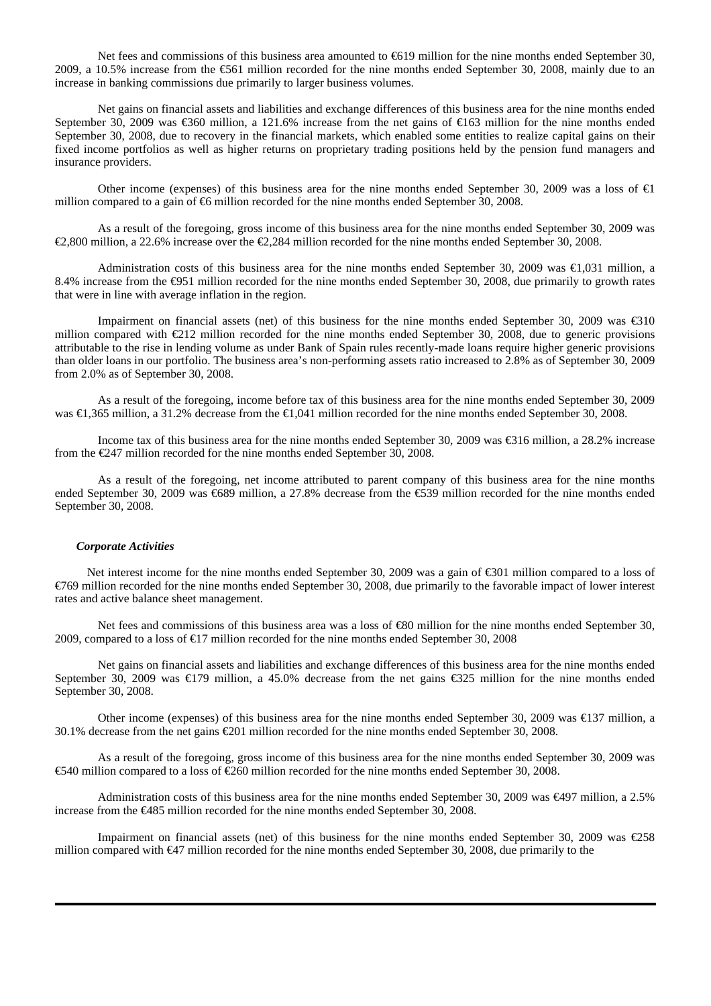Net fees and commissions of this business area amounted to €619 million for the nine months ended September 30, 2009, a 10.5% increase from the €561 million recorded for the nine months ended September 30, 2008, mainly due to an increase in banking commissions due primarily to larger business volumes.

Net gains on financial assets and liabilities and exchange differences of this business area for the nine months ended September 30, 2009 was €360 million, a 121.6% increase from the net gains of €163 million for the nine months ended September 30, 2008, due to recovery in the financial markets, which enabled some entities to realize capital gains on their fixed income portfolios as well as higher returns on proprietary trading positions held by the pension fund managers and insurance providers.

Other income (expenses) of this business area for the nine months ended September 30, 2009 was a loss of  $\bigoplus$ million compared to a gain of  $\epsilon$ 6 million recorded for the nine months ended September 30, 2008.

As a result of the foregoing, gross income of this business area for the nine months ended September 30, 2009 was €2,800 million, a 22.6% increase over the €2,284 million recorded for the nine months ended September 30, 2008.

Administration costs of this business area for the nine months ended September 30, 2009 was €1,031 million, a 8.4% increase from the  $\bigoplus$ 51 million recorded for the nine months ended September 30, 2008, due primarily to growth rates that were in line with average inflation in the region.

Impairment on financial assets (net) of this business for the nine months ended September 30, 2009 was €310 million compared with  $\epsilon 212$  million recorded for the nine months ended September 30, 2008, due to generic provisions attributable to the rise in lending volume as under Bank of Spain rules recently-made loans require higher generic provisions than older loans in our portfolio. The business area's non-performing assets ratio increased to 2.8% as of September 30, 2009 from 2.0% as of September 30, 2008.

As a result of the foregoing, income before tax of this business area for the nine months ended September 30, 2009 was €1,365 million, a 31.2% decrease from the €1,041 million recorded for the nine months ended September 30, 2008.

Income tax of this business area for the nine months ended September 30, 2009 was €316 million, a 28.2% increase from the  $\epsilon$ 247 million recorded for the nine months ended September 30, 2008.

As a result of the foregoing, net income attributed to parent company of this business area for the nine months ended September 30, 2009 was €689 million, a 27.8% decrease from the €539 million recorded for the nine months ended September 30, 2008.

#### *Corporate Activities*

Net interest income for the nine months ended September 30, 2009 was a gain of €301 million compared to a loss of €769 million recorded for the nine months ended September 30, 2008, due primarily to the favorable impact of lower interest rates and active balance sheet management.

Net fees and commissions of this business area was a loss of €80 million for the nine months ended September 30, 2009, compared to a loss of €17 million recorded for the nine months ended September 30, 2008

Net gains on financial assets and liabilities and exchange differences of this business area for the nine months ended September 30, 2009 was €179 million, a 45.0% decrease from the net gains €325 million for the nine months ended September 30, 2008.

Other income (expenses) of this business area for the nine months ended September 30, 2009 was €137 million, a 30.1% decrease from the net gains €201 million recorded for the nine months ended September 30, 2008.

As a result of the foregoing, gross income of this business area for the nine months ended September 30, 2009 was €540 million compared to a loss of €260 million recorded for the nine months ended September 30, 2008.

Administration costs of this business area for the nine months ended September 30, 2009 was €497 million, a 2.5% increase from the €485 million recorded for the nine months ended September 30, 2008.

Impairment on financial assets (net) of this business for the nine months ended September 30, 2009 was €258 million compared with €47 million recorded for the nine months ended September 30, 2008, due primarily to the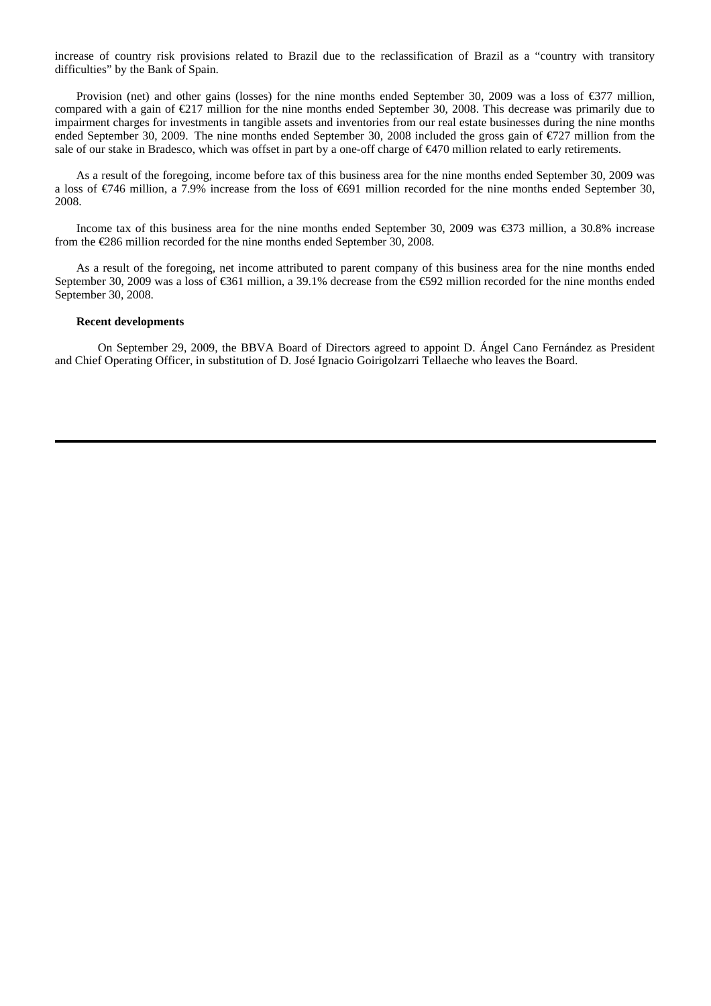increase of country risk provisions related to Brazil due to the reclassification of Brazil as a "country with transitory difficulties" by the Bank of Spain.

Provision (net) and other gains (losses) for the nine months ended September 30, 2009 was a loss of  $\epsilon$ 377 million, compared with a gain of €217 million for the nine months ended September 30, 2008. This decrease was primarily due to impairment charges for investments in tangible assets and inventories from our real estate businesses during the nine months ended September 30, 2009. The nine months ended September 30, 2008 included the gross gain of €727 million from the sale of our stake in Bradesco, which was offset in part by a one-off charge of €470 million related to early retirements.

As a result of the foregoing, income before tax of this business area for the nine months ended September 30, 2009 was a loss of €746 million, a 7.9% increase from the loss of €691 million recorded for the nine months ended September 30, 2008.

Income tax of this business area for the nine months ended September 30, 2009 was €373 million, a 30.8% increase from the €286 million recorded for the nine months ended September 30, 2008.

As a result of the foregoing, net income attributed to parent company of this business area for the nine months ended September 30, 2009 was a loss of €61 million, a 39.1% decrease from the €92 million recorded for the nine months ended September 30, 2008.

#### **Recent developments**

On September 29, 2009, the BBVA Board of Directors agreed to appoint D. Ángel Cano Fernández as President and Chief Operating Officer, in substitution of D. José Ignacio Goirigolzarri Tellaeche who leaves the Board.